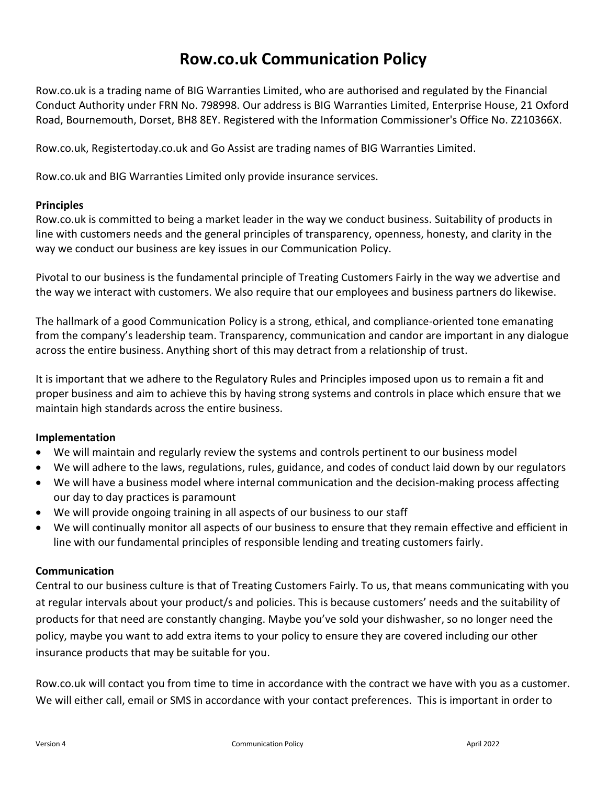## **Row.co.uk Communication Policy**

Row.co.uk is a trading name of BIG Warranties Limited, who are authorised and regulated by the Financial Conduct Authority under FRN No. 798998. Our address is BIG Warranties Limited, Enterprise House, 21 Oxford Road, Bournemouth, Dorset, BH8 8EY. Registered with the Information Commissioner's Office No. Z210366X.

Row.co.uk, Registertoday.co.uk and Go Assist are trading names of BIG Warranties Limited.

Row.co.uk and BIG Warranties Limited only provide insurance services.

## **Principles**

Row.co.uk is committed to being a market leader in the way we conduct business. Suitability of products in line with customers needs and the general principles of transparency, openness, honesty, and clarity in the way we conduct our business are key issues in our Communication Policy.

Pivotal to our business is the fundamental principle of Treating Customers Fairly in the way we advertise and the way we interact with customers. We also require that our employees and business partners do likewise.

The hallmark of a good Communication Policy is a strong, ethical, and compliance-oriented tone emanating from the company's leadership team. Transparency, communication and candor are important in any dialogue across the entire business. Anything short of this may detract from a relationship of trust.

It is important that we adhere to the Regulatory Rules and Principles imposed upon us to remain a fit and proper business and aim to achieve this by having strong systems and controls in place which ensure that we maintain high standards across the entire business.

## **Implementation**

- We will maintain and regularly review the systems and controls pertinent to our business model
- We will adhere to the laws, regulations, rules, guidance, and codes of conduct laid down by our regulators
- We will have a business model where internal communication and the decision-making process affecting our day to day practices is paramount
- We will provide ongoing training in all aspects of our business to our staff
- We will continually monitor all aspects of our business to ensure that they remain effective and efficient in line with our fundamental principles of responsible lending and treating customers fairly.

## **Communication**

Central to our business culture is that of Treating Customers Fairly. To us, that means communicating with you at regular intervals about your product/s and policies. This is because customers' needs and the suitability of products for that need are constantly changing. Maybe you've sold your dishwasher, so no longer need the policy, maybe you want to add extra items to your policy to ensure they are covered including our other insurance products that may be suitable for you.

Row.co.uk will contact you from time to time in accordance with the contract we have with you as a customer. We will either call, email or SMS in accordance with your contact preferences. This is important in order to